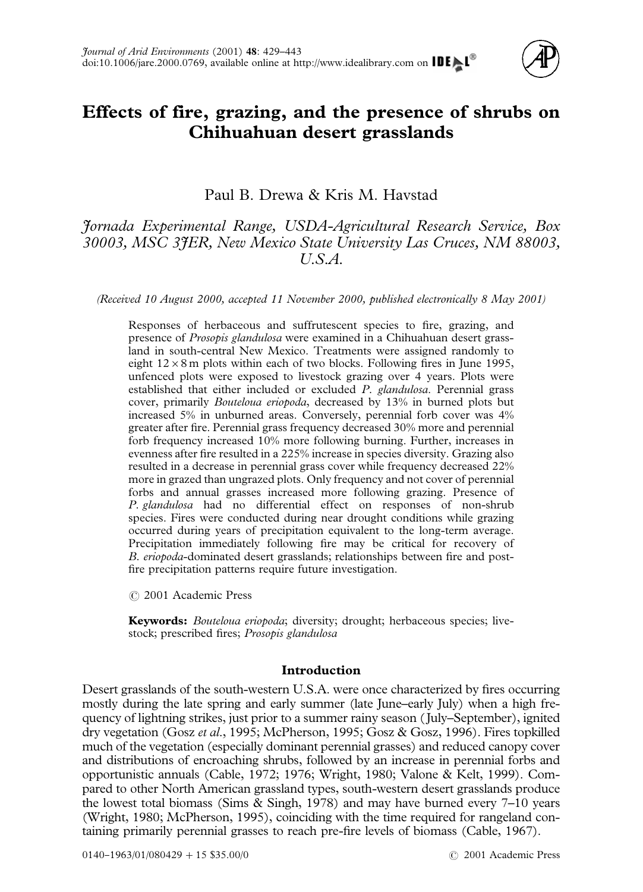

# **Effects of fire, grazing, and the presence of shrubs on Chihuahuan desert grasslands**

Paul B. Drewa & Kris M. Havstad

## *Jornada Experimental Range, USDA-Agricultural Research Service, Box 30003, MSC 3JER, New Mexico State University Las Cruces, NM 88003, U.S.A.*

*(Received 10 August 2000, accepted 11 November 2000, published electronically 8 May 2001)*

Responses of herbaceous and suffrutescent species to fire, grazing, and presence of *Prosopis glandulosa* were examined in a Chihuahuan desert grassland in south-central New Mexico. Treatments were assigned randomly to eight  $12 \times 8$  m plots within each of two blocks. Following fires in June 1995, unfenced plots were exposed to livestock grazing over 4 years. Plots were established that either included or excluded *P. glandulosa*. Perennial grass cover, primarily *Bouteloua eriopoda*, decreased by 13% in burned plots but increased 5% in unburned areas. Conversely, perennial forb cover was 4% greater after fire. Perennial grass frequency decreased 30% more and perennial forb frequency increased 10% more following burning. Further, increases in evenness after fire resulted in a 225% increase in species diversity. Grazing also resulted in a decrease in perennial grass cover while frequency decreased 22% more in grazed than ungrazed plots. Only frequency and not cover of perennial forbs and annual grasses increased more following grazing. Presence of *P. glandulosa* had no differential effect on responses of non-shrub species. Fires were conducted during near drought conditions while grazing occurred during years of precipitation equivalent to the long-term average. Precipitation immediately following fire may be critical for recovery of *B. eriopoda*-dominated desert grasslands; relationships between fire and postfire precipitation patterns require future investigation.

( 2001 Academic Press

**Keywords:** *Bouteloua eriopoda*; diversity; drought; herbaceous species; livestock; prescribed fires; *Prosopis glandulosa*

## **Introduction**

Desert grasslands of the south-western U.S.A. were once characterized by fires occurring mostly during the late spring and early summer (late June–early July) when a high frequency of lightning strikes, just prior to a summer rainy season ( July–September), ignited dry vegetation (Gosz *et al*[., 1995; McPherson, 1995; Gosz & Gosz, 1996\)](#page-13-0). Fires topkilled much of the vegetation (especially dominant perennial grasses) and reduced canopy cover and distributions of encroaching shrubs, followed by an increase in perennial forbs and opportunistic annuals [\(Cable, 1972; 1976](#page-12-0); [Wright, 1980; Valone & Kelt, 1999\)](#page-14-0). Compared to other North American grassland types, south-western desert grasslands produce the lowest total biomass [\(Sims & Singh, 1978\)](#page-14-0) and may have burned every 7–10 years [\(Wright, 1980;](#page-14-0) [McPherson, 1995\)](#page-13-0), coinciding with the time required for rangeland containing primarily perennial grasses to reach pre-fire levels of biomass [\(Cable, 1967\)](#page-12-0).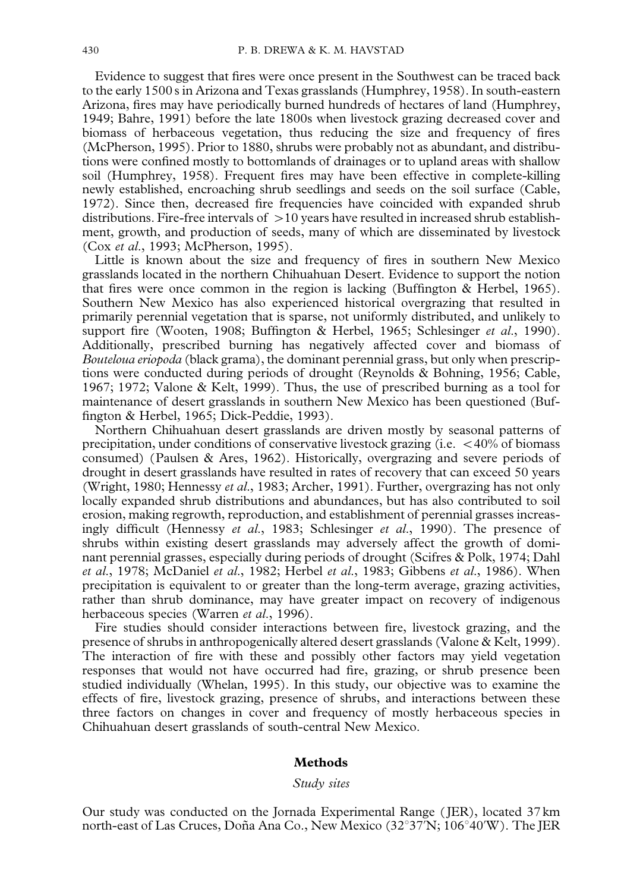Evidence to suggest that fires were once present in the Southwest can be traced back to the early 1500 s in Arizona and Texas grasslands [\(Humphrey, 1958\)](#page-13-0). In south-eastern Arizona, fires may have periodically burned hundreds of hectares of land [\(Humphrey,](#page-13-0) [1949;](#page-13-0) [Bahre, 1991\)](#page-12-0) before the late 1800s when livestock grazing decreased cover and biomass of herbaceous vegetation, thus reducing the size and frequency of fires [\(McPherson, 1995\)](#page-13-0). Prior to 1880, shrubs were probably not as abundant, and distributions were confined mostly to bottomlands of drainages or to upland areas with shallow soil [\(Humphrey, 1958\)](#page-13-0). Frequent fires may have been effective in complete-killing newly established, encroaching shrub seedlings and seeds on the soil surface [\(Cable,](#page-12-0) [1972\).](#page-12-0) Since then, decreased fire frequencies have coincided with expanded shrub distributions. Fire-free intervals of  $>10$  years have resulted in increased shrub establishment, growth, and production of seeds, many of which are disseminated by livestock (Cox *et al*[., 1993](#page-12-0); [McPherson, 1995\).](#page-13-0)

Little is known about the size and frequency of fires in southern New Mexico grasslands located in the northern Chihuahuan Desert. Evidence to support the notion that fires were once common in the region is lacking [\(Buffington & Herbel, 1965\)](#page-12-0). Southern New Mexico has also experienced historical overgrazing that resulted in primarily perennial vegetation that is sparse, not uniformly distributed, and unlikely to support fire [\(Wooten, 1908;](#page-14-0) [Buffington & Herbel, 1965;](#page-12-0) [Schlesinger](#page-14-0) *et al*., 1990). Additionally, prescribed burning has negatively affected cover and biomass of *Bouteloua eriopoda* (black grama), the dominant perennial grass, but only when prescriptions were conducted during periods of drought [\(Reynolds & Bohning, 1956;](#page-14-0) [Cable,](#page-12-0) [1967; 1972;](#page-12-0) [Valone & Kelt, 1999\)](#page-14-0). Thus, the use of prescribed burning as a tool for maintenance of desert grasslands in southern New Mexico has been questioned [\(Buf](#page-12-0)[fington & Herbel, 1965; Dick-Peddie, 1993\).](#page-12-0)

Northern Chihuahuan desert grasslands are driven mostly by seasonal patterns of precipitation, under conditions of conservative livestock grazing (i.e.  $<$  40% of biomass consumed) [\(Paulsen & Ares, 1962\)](#page-13-0). Historically, overgrazing and severe periods of drought in desert grasslands have resulted in rates of recovery that can exceed 50 years [\(Wright, 1980;](#page-14-0) [Hennessy](#page-13-0) *et al*., 1983; [Archer, 1991\)](#page-12-0). Further, overgrazing has not only locally expanded shrub distributions and abundances, but has also contributed to soil erosion, making regrowth, reproduction, and establishment of perennial grasses increasingly difficult [\(Hennessy](#page-13-0) *et al*., 1983; [Schlesinger](#page-14-0) *et al*., 1990). The presence of shrubs within existing desert grasslands may adversely affect the growth of dominant perennial grasses, especially during periods of drought [\(Scifres & Polk, 1974;](#page-14-0) [Dahl](#page-12-0) *et al*[., 1978;](#page-12-0) [McDaniel](#page-13-0) *et al*., 1982; Herbel *et al*[., 1983; Gibbens](#page-13-0) *et al*., 1986). When precipitation is equivalent to or greater than the long-term average, grazing activities, rather than shrub dominance, may have greater impact on recovery of indigenous herbaceous species [\(Warren](#page-14-0) *et al*., 1996).

Fire studies should consider interactions between fire, livestock grazing, and the presence of shrubs in anthropogenically altered desert grasslands [\(Valone & Kelt, 1999\)](#page-14-0). The interaction of fire with these and possibly other factors may yield vegetation responses that would not have occurred had fire, grazing, or shrub presence been studied individually [\(Whelan, 1995\)](#page-14-0). In this study, our objective was to examine the effects of fire, livestock grazing, presence of shrubs, and interactions between these three factors on changes in cover and frequency of mostly herbaceous species in Chihuahuan desert grasslands of south-central New Mexico.

## **Methods**

#### *Study sites*

Our study was conducted on the Jornada Experimental Range ( JER), located 37 km north-east of Las Cruces, Doña Ana Co., New Mexico (32°37'N; 106°40'W). The JER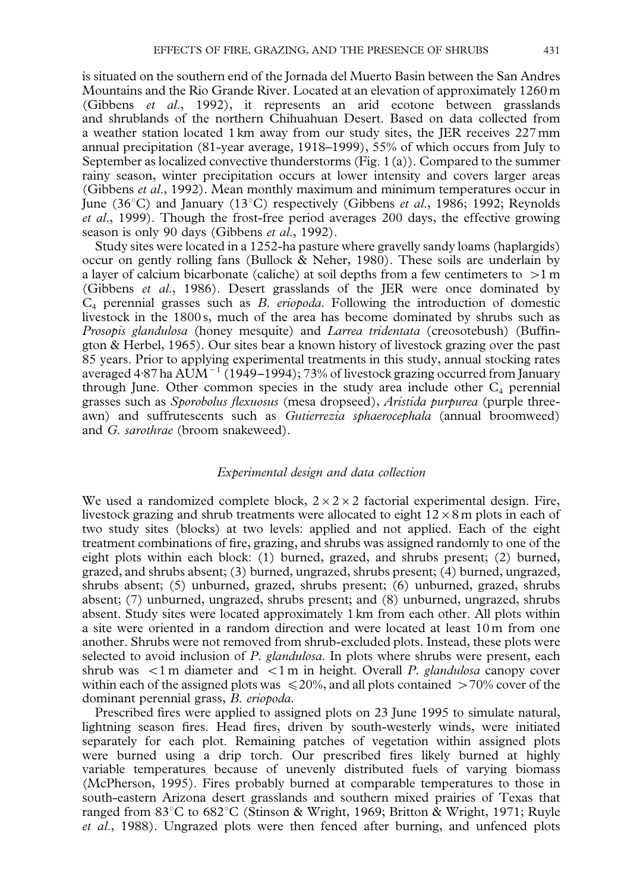is situated on the southern end of the Jornada del Muerto Basin between the San Andres Mountains and the Rio Grande River. Located at an elevation of approximately 1260 m [\(Gibbens](#page-13-0) *et al*., 1992), it represents an arid ecotone between grasslands and shrublands of the northern Chihuahuan Desert. Based on data collected from a weather station located 1 km away from our study sites, the JER receives 227 mm annual precipitation (81-year average, 1918–1999), 55% of which occurs from July to September as localized convective thunderstorms [\(Fig. 1\(a\)\)](#page-3-0). Compared to the summer rainy season, winter precipitation occurs at lower intensity and covers larger areas [\(Gibbens](#page-13-0) *et al*., 1992). Mean monthly maximum and minimum temperatures occur in June (36<sup>o</sup>C) and January (13<sup>o</sup>C) respectively [\(Gibbens](#page-13-0) *et al.*, 1986; [1992;](#page-13-0) [Reynolds](#page-14-0) *et al*[., 1999\).](#page-14-0) Though the frost-free period averages 200 days, the effective growing season is only 90 days [\(Gibbens](#page-13-0) *et al*., 1992).

Study sites were located in a 1252-ha pasture where gravelly sandy loams (haplargids) occur on gently rolling fans [\(Bullock & Neher, 1980\).](#page-12-0) These soils are underlain by a layer of calcium bicarbonate (caliche) at soil depths from a few centimeters to  $>1$  m [\(Gibbens](#page-13-0) *et al*., 1986). Desert grasslands of the JER were once dominated by C4 perennial grasses such as *B. eriopoda*. Following the introduction of domestic livestock in the 1800 s, much of the area has become dominated by shrubs such as *Prosopis glandulosa* (honey mesquite) and *Larrea tridentata* (creosotebush) [\(Buffin](#page-12-0)[gton & Herbel, 1965\).](#page-12-0) Our sites bear a known history of livestock grazing over the past 85 years. Prior to applying experimental treatments in this study, annual stocking rates averaged 4.87 ha AUM<sup> $-1$ </sup> (1949–1994); 73% of livestock grazing occurred from January through June. Other common species in the study area include other  $C_4$  perennial grasses such as *Sporobolus flexuosus* (mesa dropseed), *Aristida purpurea* (purple threeawn) and suffrutescents such as *Gutierrezia sphaerocephala* (annual broomweed) and *G. sarothrae* (broom snakeweed).

#### *Experimental design and data collection*

 $E$ <sup>2</sup> Experimental design and data centerion<br>We used a randomized complete block,  $2 \times 2 \times 2$  factorial experimental design. Fire, We used a randomized complete block,  $2 \times 2 \times 2$  factorial experimental design. Fire, livestock grazing and shrub treatments were allocated to eight  $12 \times 8$  m plots in each of two study sites (blocks) at two levels: applied and not applied. Each of the eight treatment combinations of fire, grazing, and shrubs was assigned randomly to one of the eight plots within each block: (1) burned, grazed, and shrubs present; (2) burned, grazed, and shrubs absent; (3) burned, ungrazed, shrubs present; (4) burned, ungrazed, shrubs absent; (5) unburned, grazed, shrubs present; (6) unburned, grazed, shrubs absent; (7) unburned, ungrazed, shrubs present; and (8) unburned, ungrazed, shrubs absent. Study sites were located approximately 1 km from each other. All plots within a site were oriented in a random direction and were located at least 10 m from one another. Shrubs were not removed from shrub-excluded plots. Instead, these plots were selected to avoid inclusion of *P. glandulosa*. In plots where shrubs were present, each shrub was  $\langle 1 \text{ m}$  diameter and  $\langle 1 \text{ m}$  in height. Overall *P. glandulosa* canopy cover within each of the assigned plots was  $\leq 20\%$ , and all plots contained  $>70\%$  cover of the dominant perennial grass, *B. eriopoda.*

Prescribed fires were applied to assigned plots on 23 June 1995 to simulate natural, lightning season fires. Head fires, driven by south-westerly winds, were initiated separately for each plot. Remaining patches of vegetation within assigned plots were burned using a drip torch. Our prescribed fires likely burned at highly variable temperatures because of unevenly distributed fuels of varying biomass [\(McPherson, 1995\)](#page-13-0). Fires probably burned at comparable temperatures to those in south-eastern Arizona desert grasslands and southern mixed prairies of Texas that ranged from  $83^{\circ}$ C to  $682^{\circ}$ C [\(Stinson & Wright, 1969;](#page-14-0) [Britton & Wright, 1971;](#page-12-0) [Ruyle](#page-14-0) *et al*[., 1988\)](#page-14-0). Ungrazed plots were then fenced after burning, and unfenced plots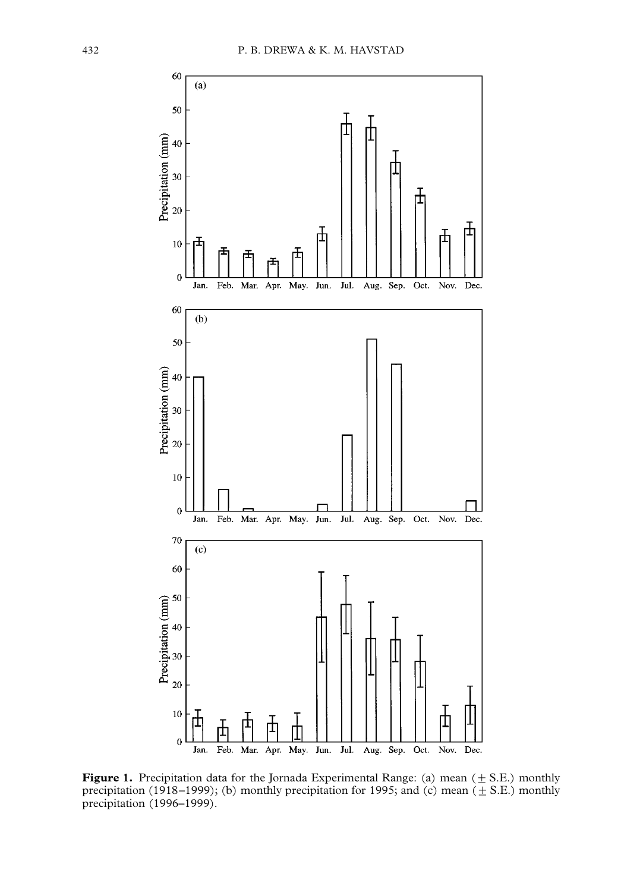<span id="page-3-0"></span>

**Figure 1.** Precipitation data for the Jornada Experimental Range: (a) mean  $(\pm S.E.)$  monthly precipitation (1918–1999); (b) monthly precipitation for 1995; and (c) mean ( $\pm$  S.E.) monthly precipitation (1996–1999).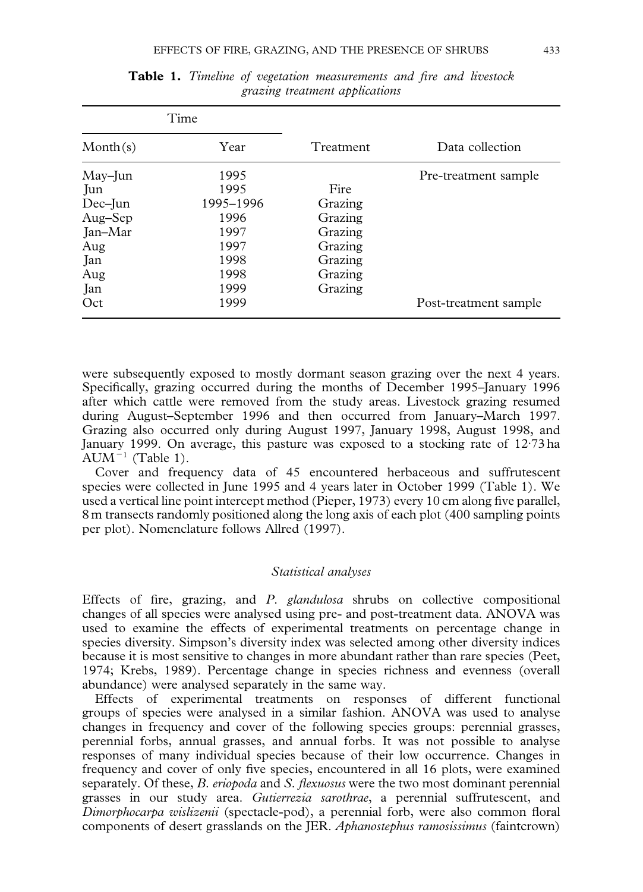| Time     |           |           |                       |
|----------|-----------|-----------|-----------------------|
| Month(s) | Year      | Treatment | Data collection       |
| May-Jun  | 1995      |           | Pre-treatment sample  |
| Jun      | 1995      | Fire      |                       |
| Dec-Jun  | 1995-1996 | Grazing   |                       |
| Aug-Sep  | 1996      | Grazing   |                       |
| Jan-Mar  | 1997      | Grazing   |                       |
| Aug      | 1997      | Grazing   |                       |
| Jan      | 1998      | Grazing   |                       |
| Aug      | 1998      | Grazing   |                       |
| Jan      | 1999      | Grazing   |                       |
| Oct      | 1999      |           | Post-treatment sample |

**Table 1.** *Timeline of vegetation measurements and fire and livestock grazing treatment applications*

were subsequently exposed to mostly dormant season grazing over the next 4 years. Specifically, grazing occurred during the months of December 1995–January 1996 after which cattle were removed from the study areas. Livestock grazing resumed during August–September 1996 and then occurred from January–March 1997. Grazing also occurred only during August 1997, January 1998, August 1998, and January 1999. On average, this pasture was exposed to a stocking rate of 12.73 ha  $AUM^{-1}$  (Table 1).

Cover and frequency data of 45 encountered herbaceous and suffrutescent species were collected in June 1995 and 4 years later in October 1999 (Table 1). We used a vertical line point intercept method [\(Pieper, 1973\)](#page-13-0) every 10 cm along five parallel, 8 m transects randomly positioned along the long axis of each plot (400 sampling points per plot). Nomenclature follows [Allred \(1997\)](#page-12-0).

## *Statistical analyses*

Effects of fire, grazing, and *P. glandulosa* shrubs on collective compositional changes of all species were analysed using pre- and post-treatment data. ANOVA was used to examine the effects of experimental treatments on percentage change in species diversity. Simpson's diversity index was selected among other diversity indices because it is most sensitive to changes in more abundant rather than rare species [\(Peet,](#page-13-0) [1974; Krebs, 1989\).](#page-13-0) Percentage change in species richness and evenness (overall abundance) were analysed separately in the same way.

Effects of experimental treatments on responses of different functional groups of species were analysed in a similar fashion. ANOVA was used to analyse changes in frequency and cover of the following species groups: perennial grasses, perennial forbs, annual grasses, and annual forbs. It was not possible to analyse responses of many individual species because of their low occurrence. Changes in frequency and cover of only five species, encountered in all 16 plots, were examined separately. Of these, *B. eriopoda* and *S. flexuosus* were the two most dominant perennial grasses in our study area. *Gutierrezia sarothrae*, a perennial suffrutescent, and *Dimorphocarpa wislizenii* (spectacle-pod), a perennial forb, were also common floral components of desert grasslands on the JER. *Aphanostephus ramosissimus* (faintcrown)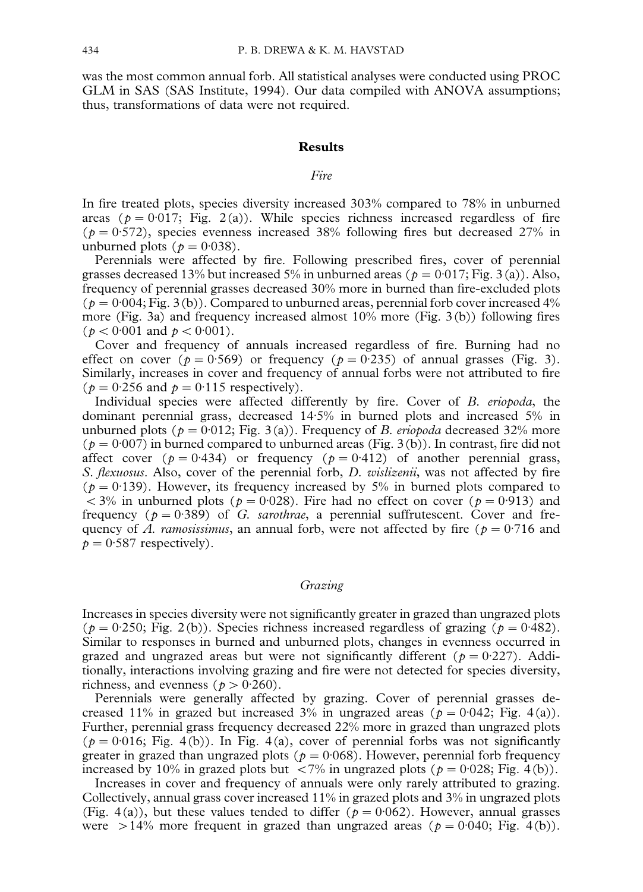was the most common annual forb. All statistical analyses were conducted using PROC GLM in SAS [\(SAS Institute, 1994\)](#page-14-0). Our data compiled with ANOVA assumptions; thus, transformations of data were not required.

## **Results**

## *Fire*

In fire treated plots, species diversity increased 303% compared to 78% in unburned areas ( $p = 0.017$ ; [Fig. 2\(a\)\)](#page-6-0). While species richness increased regardless of fire ( $p = 0.572$ ), species evenness increased 38% following fires but decreased 27% in unburned plots ( $p = 0.038$ ).

Perennials were affected by fire. Following prescribed fires, cover of perennial grasses decreased 13% but increased 5% in unburned areas ( $p = 0.017$ ; [Fig. 3\(a\)\)](#page-7-0). Also, frequency of perennial grasses decreased 30% more in burned than fire-excluded plots ( $p = 0.004$ ; [Fig. 3\(b\)](#page-7-0)). Compared to unburned areas, perennial forb cover increased 4% more [\(Fig. 3a\)](#page-7-0) and frequency increased almost 10% more [\(Fig. 3\(b\)](#page-7-0)) following fires ( $p < 0.001$  and  $p < 0.001$ ).

Cover and frequency of annuals increased regardless of fire. Burning had no effect on cover ( $p = 0.569$ ) or frequency ( $p = 0.235$ ) of annual grasses [\(Fig. 3\).](#page-7-0) Similarly, increases in cover and frequency of annual forbs were not attributed to fire ( $p = 0.256$  and  $p = 0.115$  respectively).

Individual species were affected differently by fire. Cover of *B. eriopoda*, the dominant perennial grass, decreased 14)5% in burned plots and increased 5% in unburned plots ( $p = 0.012$ [; Fig. 3\(a\)\)](#page-7-0). Frequency of *B. eriopoda* decreased 32% more  $(p = 0.007)$  in burned compared to unburned areas [\(Fig. 3\(b\)\)](#page-7-0). In contrast, fire did not affect cover ( $p = 0.434$ ) or frequency ( $p = 0.412$ ) of another perennial grass, *S. flexuosus*. Also, cover of the perennial forb, *D. wislizenii*, was not affected by fire ( $p = 0.139$ ). However, its frequency increased by 5% in burned plots compared to  $<$  3% in unburned plots ( $p = 0.028$ ). Fire had no effect on cover ( $p = 0.913$ ) and frequency  $(p = 0.389)$  of *G. sarothrae*, a perennial suffrutescent. Cover and frequency of *A. ramosissimus*, an annual forb, were not affected by fire ( $p = 0.716$  and  $p = 0.587$  respectively).

## *Grazing*

Increases in species diversity were not significantly greater in grazed than ungrazed plots ( $p = 0.250$ ; [Fig. 2\(b\)\)](#page-6-0). Species richness increased regardless of grazing ( $p = 0.482$ ). Similar to responses in burned and unburned plots, changes in evenness occurred in grazed and ungrazed areas but were not significantly different ( $p = 0.227$ ). Additionally, interactions involving grazing and fire were not detected for species diversity, richness, and evenness ( $p > 0.260$ ).

Perennials were generally affected by grazing. Cover of perennial grasses decreased 11% in grazed but increased 3% in ungrazed areas ( $p = 0.042$ ; [Fig. 4\(a\)\)](#page-8-0). Further, perennial grass frequency decreased 22% more in grazed than ungrazed plots  $(p = 0.016;$  [Fig. 4\(b\)](#page-8-0)). In [Fig. 4\(a\),](#page-8-0) cover of perennial forbs was not significantly greater in grazed than ungrazed plots ( $p = 0.068$ ). However, perennial forb frequency increased by 10% in grazed plots but <7% in ungrazed plots ( $p = 0.028$ ; [Fig. 4\(b\)\)](#page-8-0).

Increases in cover and frequency of annuals were only rarely attributed to grazing. Collectively, annual grass cover increased 11% in grazed plots and 3% in ungrazed plots [\(Fig. 4\(a\)\)](#page-8-0), but these values tended to differ ( $p = 0.062$ ). However, annual grasses were  $>14\%$  more frequent in grazed than ungrazed areas ( $p = 0.040$ ; [Fig. 4\(b\)\)](#page-8-0).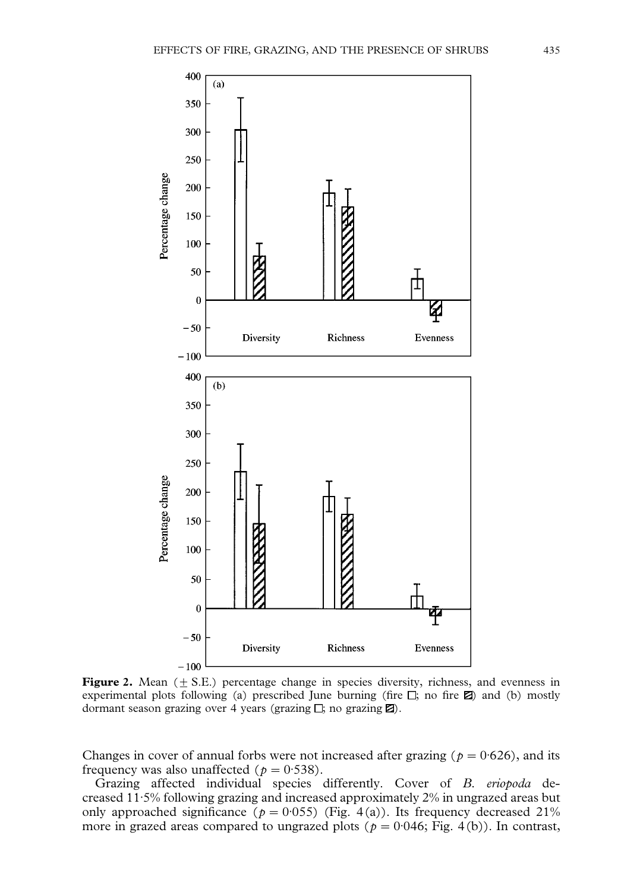<span id="page-6-0"></span>

**Figure 2.** Mean  $(\pm S.E.)$  percentage change in species diversity, richness, and evenness in experimental plots following (a) prescribed June burning (fire  $\Box$ ; no fire  $\boxtimes$ ) and (b) mostly dormant season grazing over 4 years (grazing  $\Box$ ; no grazing  $\boxtimes$ ).

Changes in cover of annual forbs were not increased after grazing ( $p = 0.626$ ), and its frequency was also unaffected ( $p = 0.538$ ).

Grazing affected individual species differently. Cover of *B. eriopoda* decreased 11.5% following grazing and increased approximately 2% in ungrazed areas but only approached significance ( $p = 0.055$ ) [\(Fig. 4\(a\)\)](#page-8-0). Its frequency decreased 21% more in grazed areas compared to ungrazed plots ( $p = 0.046$ ; [Fig. 4\(b\)\).](#page-8-0) In contrast,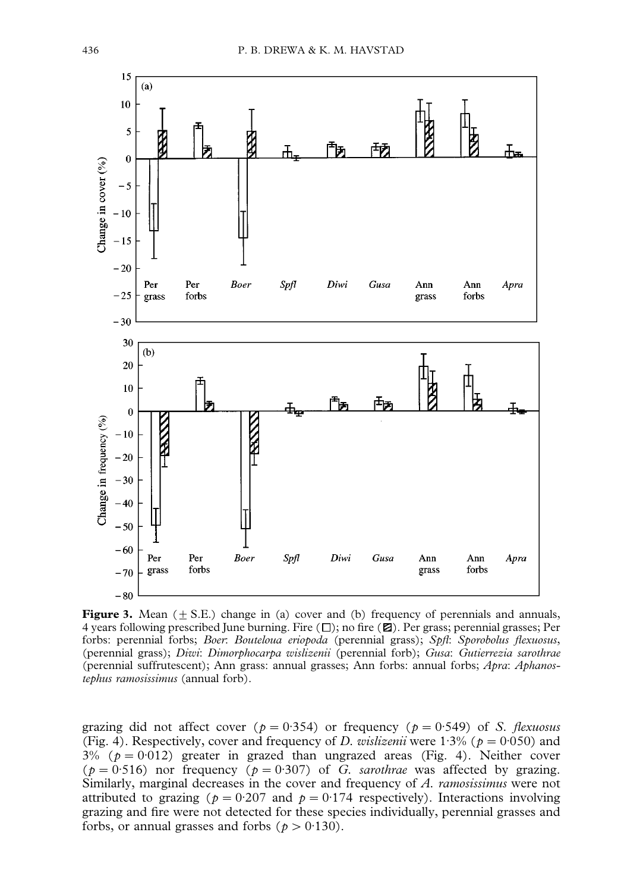<span id="page-7-0"></span>

**Figure 3.** Mean  $(+ S.E.)$  change in (a) cover and (b) frequency of perennials and annuals, 4 years following prescribed June burning. Fire  $(\Box)$ ; no fire  $(\Box)$ . Per grass; perennial grasses; Per forbs: perennial forbs; *Boer*: *Bouteloua eriopoda* (perennial grass); *Spfl*: *Sporobolus flexuosus*, (perennial grass); *Diwi*: *Dimorphocarpa wislizenii* (perennial forb); *Gusa*: *Gutierrezia sarothrae* (perennial suffrutescent); Ann grass: annual grasses; Ann forbs: annual forbs; *Apra*: *Aphanostephus ramosissimus* (annual forb).

grazing did not affect cover ( $p = 0.354$ ) or frequency ( $p = 0.549$ ) of *S. flexuosus* [\(Fig. 4\)](#page-8-0). Respectively, cover and frequency of *D. wislizenii* were 1:3% ( $p = 0.050$ ) and  $3\%$  ( $p = 0.012$ ) greater in grazed than ungrazed areas [\(Fig. 4\)](#page-8-0). Neither cover ( $p = 0.516$ ) nor frequency ( $p = 0.307$ ) of *G. sarothrae* was affected by grazing. Similarly, marginal decreases in the cover and frequency of *A. ramosissimus* were not attributed to grazing ( $p = 0.207$  and  $p = 0.174$  respectively). Interactions involving grazing and fire were not detected for these species individually, perennial grasses and forbs, or annual grasses and forbs ( $p > 0.130$ ).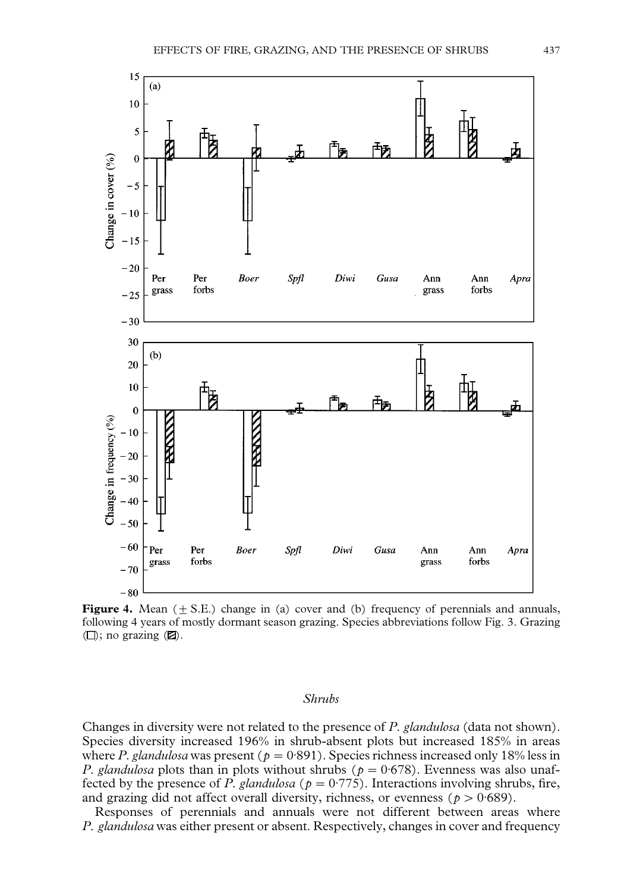<span id="page-8-0"></span>

**Figure 4.** Mean  $(\pm S.E.)$  change in (a) cover and (b) frequency of perennials and annuals, following 4 years of mostly dormant season grazing. Species abbreviations follow [Fig. 3.](#page-7-0) Grazing  $(\Box)$ ; no grazing  $(\Box)$ .

#### *Shrubs*

Changes in diversity were not related to the presence of *P. glandulosa* (data not shown). Species diversity increased 196% in shrub-absent plots but increased 185% in areas where *P. glandulosa* was present ( $p = 0.891$ ). Species richness increased only 18% less in *P. glandulosa* plots than in plots without shrubs ( $p = 0.678$ ). Evenness was also unaffected by the presence of *P. glandulosa* ( $p = 0.775$ ). Interactions involving shrubs, fire, and grazing did not affect overall diversity, richness, or evenness ( $p > 0.689$ ).

Responses of perennials and annuals were not different between areas where *P. glandulosa* was either present or absent. Respectively, changes in cover and frequency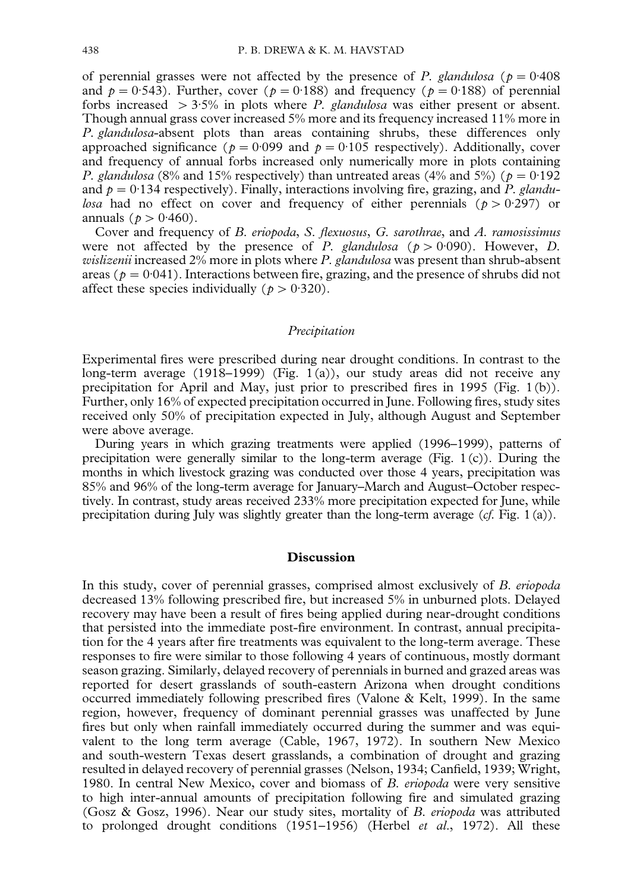of perennial grasses were not affected by the presence of *P. glandulosa* ( $p = 0.408$ ) and  $p = 0.543$ . Further, cover ( $p = 0.188$ ) and frequency ( $p = 0.188$ ) of perennial forbs increased  $>3.5\%$  in plots where *P. glandulosa* was either present or absent. Though annual grass cover increased 5% more and its frequency increased 11% more in *P. glandulosa*-absent plots than areas containing shrubs, these differences only approached significance ( $p = 0.099$  and  $p = 0.105$  respectively). Additionally, cover and frequency of annual forbs increased only numerically more in plots containing *P. glandulosa* (8% and 15% respectively) than untreated areas (4% and 5%) ( $p = 0.192$ ) and  $p = 0.134$  respectively). Finally, interactions involving fire, grazing, and  $\overline{P}$ . *glandulosa* had no effect on cover and frequency of either perennials ( $p > 0.297$ ) or annuals ( $p > 0.460$ ).

Cover and frequency of *B. eriopoda*, *S. flexuosus*, *G. sarothrae*, and *A. ramosissimus* were not affected by the presence of *P. glandulosa* ( $p > 0.090$ ). However, *D. wislizenii* increased 2% more in plots where *P. glandulosa* was present than shrub-absent areas ( $p = 0.041$ ). Interactions between fire, grazing, and the presence of shrubs did not affect these species individually ( $p > 0.320$ ).

#### *Precipitation*

Experimental fires were prescribed during near drought conditions. In contrast to the long-term average (1918–1999) [\(Fig. 1\(a\)\)](#page-3-0), our study areas did not receive any precipitation for April and May, just prior to prescribed fires in 1995 [\(Fig. 1\(b\)\)](#page-3-0). Further, only 16% of expected precipitation occurred in June. Following fires, study sites received only 50% of precipitation expected in July, although August and September were above average.

During years in which grazing treatments were applied (1996–1999), patterns of precipitation were generally similar to the long-term average [\(Fig. 1\(c\)\)](#page-3-0). During the months in which livestock grazing was conducted over those 4 years, precipitation was 85% and 96% of the long-term average for January–March and August–October respectively. In contrast, study areas received 233% more precipitation expected for June, while precipitation during July was slightly greater than the long-term average (*cf.* [Fig. 1\(a\)\)](#page-3-0).

#### **Discussion**

In this study, cover of perennial grasses, comprised almost exclusively of *B. eriopoda* decreased 13% following prescribed fire, but increased 5% in unburned plots. Delayed recovery may have been a result of fires being applied during near-drought conditions that persisted into the immediate post-fire environment. In contrast, annual precipitation for the 4 years after fire treatments was equivalent to the long-term average. These responses to fire were similar to those following 4 years of continuous, mostly dormant season grazing. Similarly, delayed recovery of perennials in burned and grazed areas was reported for desert grasslands of south-eastern Arizona when drought conditions occurred immediately following prescribed fires [\(Valone & Kelt, 1999\)](#page-14-0). In the same region, however, frequency of dominant perennial grasses was unaffected by June fires but only when rainfall immediately occurred during the summer and was equivalent to the long term average [\(Cable, 1967, 1972\)](#page-12-0). In southern New Mexico and south-western Texas desert grasslands, a combination of drought and grazing resulted in delayed recovery of perennial grasses [\(Nelson, 1934;](#page-13-0) [Canfield, 1939](#page-12-0); [Wright,](#page-14-0) [1980.](#page-14-0) In central New Mexico, cover and biomass of *B. eriopoda* were very sensitive to high inter-annual amounts of precipitation following fire and simulated grazing [\(Gosz & Gosz, 1996\)](#page-13-0). Near our study sites, mortality of *B. eriopoda* was attributed to prolonged drought conditions (1951–1956) (Herbel *et al*[., 1972\)](#page-13-0). All these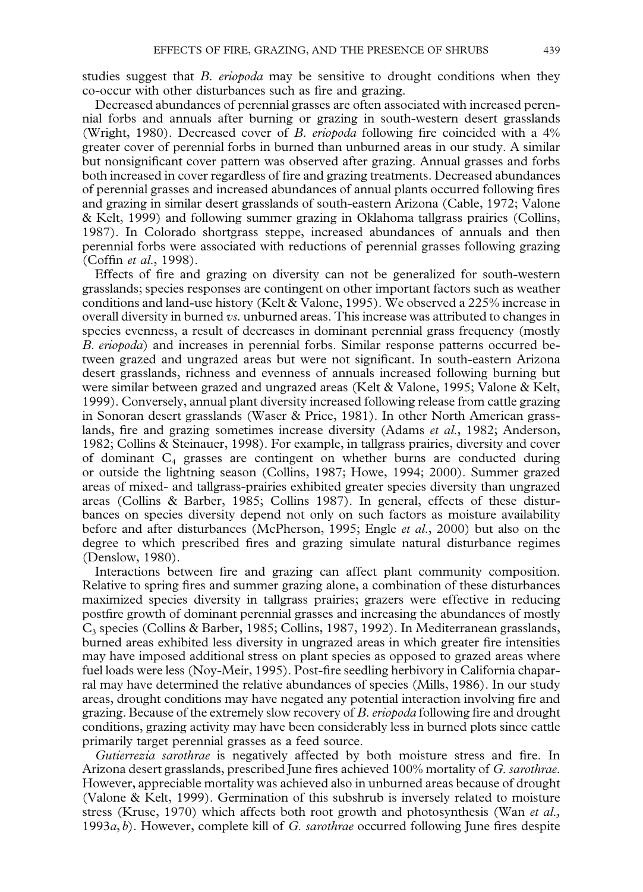studies suggest that *B. eriopoda* may be sensitive to drought conditions when they co-occur with other disturbances such as fire and grazing.

Decreased abundances of perennial grasses are often associated with increased perennial forbs and annuals after burning or grazing in south-western desert grasslands [\(Wright, 1980\)](#page-14-0). Decreased cover of *B. eriopoda* following fire coincided with a 4% greater cover of perennial forbs in burned than unburned areas in our study. A similar but nonsignificant cover pattern was observed after grazing. Annual grasses and forbs both increased in cover regardless of fire and grazing treatments. Decreased abundances of perennial grasses and increased abundances of annual plants occurred following fires and grazing in similar desert grasslands of south-eastern Arizona [\(Cable, 1972;](#page-12-0) [Valone](#page-14-0) [& Kelt, 1999\)](#page-14-0) and following summer grazing in Oklahoma tallgrass prairies [\(Collins,](#page-12-0) [1987\).](#page-12-0) In Colorado shortgrass steppe, increased abundances of annuals and then perennial forbs were associated with reductions of perennial grasses following grazing (Coffin *et al*[., 1998\)](#page-12-0).

Effects of fire and grazing on diversity can not be generalized for south-western grasslands; species responses are contingent on other important factors such as weather conditions and land-use history [\(Kelt & Valone, 1995\)](#page-13-0). We observed a 225% increase in overall diversity in burned *vs.* unburned areas. This increase was attributed to changes in species evenness, a result of decreases in dominant perennial grass frequency (mostly *B. eriopoda*) and increases in perennial forbs. Similar response patterns occurred between grazed and ungrazed areas but were not significant. In south-eastern Arizona desert grasslands, richness and evenness of annuals increased following burning but were similar between grazed and ungrazed areas [\(Kelt & Valone, 1995;](#page-13-0) [Valone & Kelt,](#page-14-0) [1999\)](#page-14-0). Conversely, annual plant diversity increased following release from cattle grazing in Sonoran desert grasslands [\(Waser & Price, 1981\).](#page-14-0) In other North American grasslands, fire and grazing sometimes increase diversity [\(Adams](#page-11-0) *et al*., 1982; [Anderson,](#page-12-0) [1982; Collins & Steinauer, 1998\)](#page-12-0). For example, in tallgrass prairies, diversity and cover of dominant  $C_4$  grasses are contingent on whether burns are conducted during or outside the lightning season [\(Collins, 1987;](#page-12-0) [Howe, 1994; 2000\)](#page-13-0). Summer grazed areas of mixed- and tallgrass-prairies exhibited greater species diversity than ungrazed areas [\(Collins & Barber, 1985; Collins 1987\)](#page-12-0). In general, effects of these disturbances on species diversity depend not only on such factors as moisture availability before and after disturbances [\(McPherson, 1995;](#page-13-0) Engle *et al*[., 2000\)](#page-12-0) but also on the degree to which prescribed fires and grazing simulate natural disturbance regimes [\(Denslow, 1980\).](#page-12-0)

Interactions between fire and grazing can affect plant community composition. Relative to spring fires and summer grazing alone, a combination of these disturbances maximized species diversity in tallgrass prairies; grazers were effective in reducing postfire growth of dominant perennial grasses and increasing the abundances of mostly C3 species [\(Collins & Barber, 1985; Collins, 1987, 1992\)](#page-12-0). In Mediterranean grasslands, burned areas exhibited less diversity in ungrazed areas in which greater fire intensities may have imposed additional stress on plant species as opposed to grazed areas where fuel loads were less [\(Noy-Meir, 1995\)](#page-13-0). Post-fire seedling herbivory in California chaparral may have determined the relative abundances of species [\(Mills, 1986\)](#page-13-0). In our study areas, drought conditions may have negated any potential interaction involving fire and grazing. Because of the extremely slow recovery of *B. eriopoda* following fire and drought conditions, grazing activity may have been considerably less in burned plots since cattle primarily target perennial grasses as a feed source.

*Gutierrezia sarothrae* is negatively affected by both moisture stress and fire. In Arizona desert grasslands, prescribed June fires achieved 100% mortality of *G. sarothrae.* However, appreciable mortality was achieved also in unburned areas because of drought [\(Valone & Kelt, 1999\).](#page-14-0) Germination of this subshrub is inversely related to moisture stress [\(Kruse, 1970\)](#page-13-0) which affects both root growth and photosynthesis [\(Wan](#page-14-0) *et al.,* [1993](#page-14-0)*a*, *b*[\).](#page-14-0) However, complete kill of *G. sarothrae* occurred following June fires despite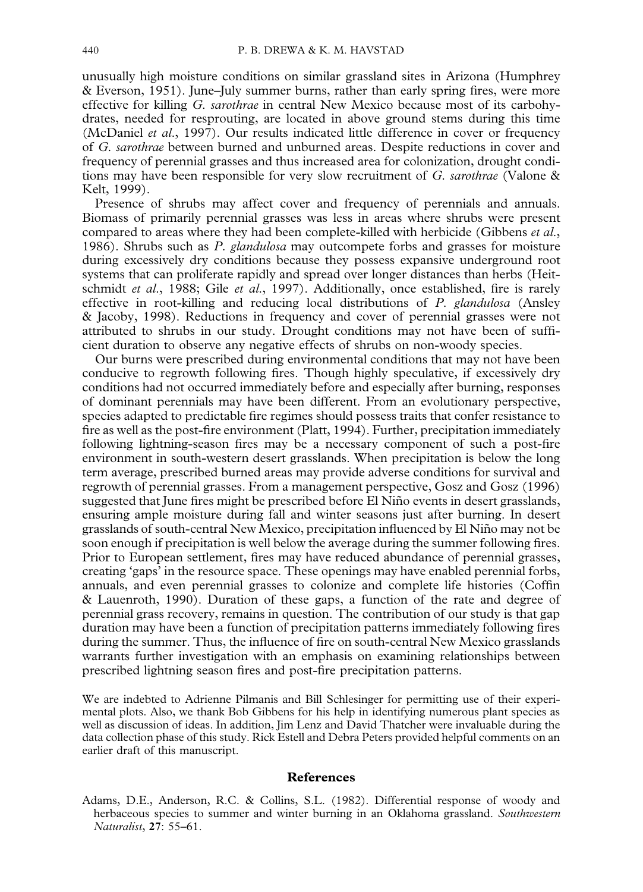<span id="page-11-0"></span>unusually high moisture conditions on similar grassland sites in Arizona [\(Humphrey](#page-13-0) [& Everson, 1951\)](#page-13-0). June–July summer burns, rather than early spring fires, were more effective for killing *G. sarothrae* in central New Mexico because most of its carbohydrates, needed for resprouting, are located in above ground stems during this time [\(McDaniel](#page-13-0) *et al*., 1997). Our results indicated little difference in cover or frequency of *G. sarothrae* between burned and unburned areas. Despite reductions in cover and frequency of perennial grasses and thus increased area for colonization, drought conditions may have been responsible for very slow recruitment of *G. sarothrae* [\(Valone &](#page-14-0) [Kelt, 1999\).](#page-14-0)

Presence of shrubs may affect cover and frequency of perennials and annuals. Biomass of primarily perennial grasses was less in areas where shrubs were present compared to areas where they had been complete-killed with herbicide [\(Gibbens](#page-13-0) *et al*., [1986\)](#page-13-0). Shrubs such as *P. glandulosa* may outcompete forbs and grasses for moisture during excessively dry conditions because they possess expansive underground root systems that can proliferate rapidly and spread over longer distances than herbs [\(Heit](#page-13-0)[schmidt](#page-13-0) *et al*., 1988; Gile *et al*[., 1997\)](#page-13-0). Additionally, once established, fire is rarely effective in root-killing and reducing local distributions of *P. glandulosa* [\(Ansley](#page-12-0) [& Jacoby, 1998\).](#page-12-0) Reductions in frequency and cover of perennial grasses were not attributed to shrubs in our study. Drought conditions may not have been of sufficient duration to observe any negative effects of shrubs on non-woody species.

Our burns were prescribed during environmental conditions that may not have been conducive to regrowth following fires. Though highly speculative, if excessively dry conditions had not occurred immediately before and especially after burning, responses of dominant perennials may have been different. From an evolutionary perspective, species adapted to predictable fire regimes should possess traits that confer resistance to fire as well as the post-fire environment [\(Platt, 1994\)](#page-14-0). Further, precipitation immediately following lightning-season fires may be a necessary component of such a post-fire environment in south-western desert grasslands. When precipitation is below the long term average, prescribed burned areas may provide adverse conditions for survival and regrowth of perennial grasses. From a management perspective, [Gosz and Gosz \(1996\)](#page-13-0) suggested that June fires might be prescribed before El Niño events in desert grasslands, ensuring ample moisture during fall and winter seasons just after burning. In desert grasslands of south-central New Mexico, precipitation influenced by El Niño may not be soon enough if precipitation is well below the average during the summer following fires. Prior to European settlement, fires may have reduced abundance of perennial grasses, creating 'gaps' in the resource space. These openings may have enabled perennial forbs, annuals, and even perennial grasses to colonize and complete life histories [\(Coffin](#page-12-0) [& Lauenroth, 1990\)](#page-12-0). Duration of these gaps, a function of the rate and degree of perennial grass recovery, remains in question. The contribution of our study is that gap duration may have been a function of precipitation patterns immediately following fires during the summer. Thus, the influence of fire on south-central New Mexico grasslands warrants further investigation with an emphasis on examining relationships between prescribed lightning season fires and post-fire precipitation patterns.

We are indebted to Adrienne Pilmanis and Bill Schlesinger for permitting use of their experimental plots. Also, we thank Bob Gibbens for his help in identifying numerous plant species as well as discussion of ideas. In addition, Jim Lenz and David Thatcher were invaluable during the data collection phase of this study. Rick Estell and Debra Peters provided helpful comments on an earlier draft of this manuscript.

#### **References**

Adams, D.E., Anderson, R.C. & Collins, S.L. (1982). Differential response of woody and herbaceous species to summer and winter burning in an Oklahoma grassland. *Southwestern Naturalist*, **27**: 55–61.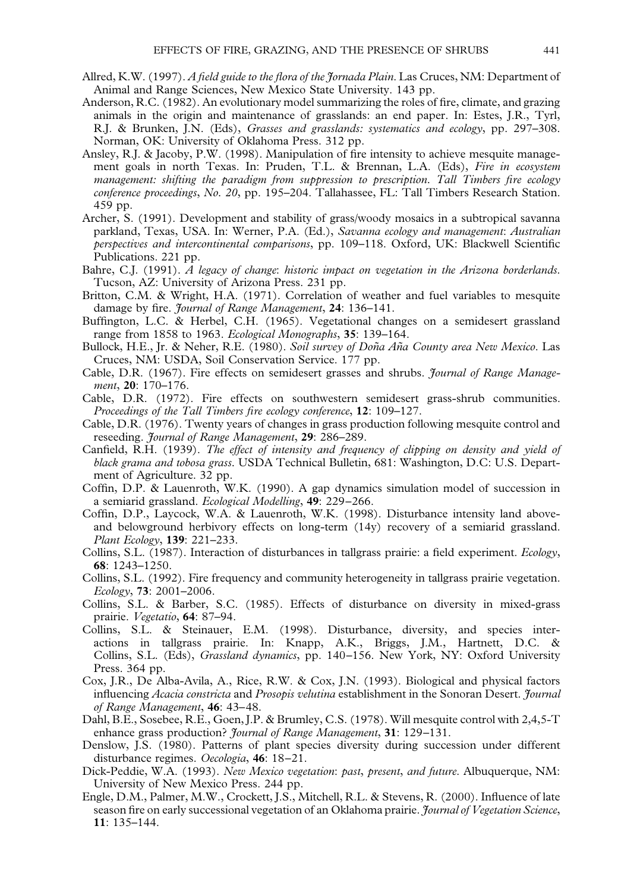- <span id="page-12-0"></span>Allred, K.W. (1997). *A field guide to the flora of the Jornada Plain*. Las Cruces, NM: Department of Animal and Range Sciences, New Mexico State University. 143 pp.
- Anderson, R.C. (1982). An evolutionary model summarizing the roles of fire, climate, and grazing animals in the origin and maintenance of grasslands: an end paper. In: Estes, J.R., Tyrl, R.J. & Brunken, J.N. (Eds), *Grasses and grasslands: systematics and ecology*, pp. 297–308. Norman, OK: University of Oklahoma Press. 312 pp.
- Ansley, R.J. & Jacoby, P.W. (1998). Manipulation of fire intensity to achieve mesquite management goals in north Texas. In: Pruden, T.L. & Brennan, L.A. (Eds), *Fire in ecosystem management: shifting the paradigm from suppression to prescription. Tall Timbers fire ecology conference proceedings*, *No. 20*, pp. 195–204. Tallahassee, FL: Tall Timbers Research Station. 459 pp.
- Archer, S. (1991). Development and stability of grass/woody mosaics in a subtropical savanna parkland, Texas, USA. In: Werner, P.A. (Ed.), *Savanna ecology and management*: *Australian perspectives and intercontinental comparisons*, pp. 109–118. Oxford, UK: Blackwell Scientific Publications. 221 pp.
- Bahre, C.J. (1991). *A legacy of change*: *historic impact on vegetation in the Arizona borderlands*. Tucson, AZ: University of Arizona Press. 231 pp.
- Britton, C.M. & Wright, H.A. (1971). Correlation of weather and fuel variables to mesquite damage by fire. *Journal of Range Management*, **24**: 136–141.
- Buffington, L.C. & Herbel, C.H. (1965). Vegetational changes on a semidesert grassland range from 1858 to 1963. *Ecological Monographs*, **35**: 139–164.
- Bullock, H.E., Jr. & Neher, R.E. (1980). *Soil survey of Doña Aña County area New Mexico*. Las Cruces, NM: USDA, Soil Conservation Service. 177 pp.
- Cable, D.R. (1967). Fire effects on semidesert grasses and shrubs. *Journal of Range Management*, **20**: 170–176.
- Cable, D.R. (1972). Fire effects on southwestern semidesert grass-shrub communities. *Proceedings of the Tall Timbers fire ecology conference*, **12**: 109–127.
- Cable, D.R. (1976). Twenty years of changes in grass production following mesquite control and reseeding. *Journal of Range Management*, **29**: 286–289.
- Canfield, R.H. (1939). *The effect of intensity and frequency of clipping on density and yield of black grama and tobosa grass.* USDA Technical Bulletin, 681: Washington, D.C: U.S. Department of Agriculture. 32 pp.
- Coffin, D.P. & Lauenroth, W.K. (1990). A gap dynamics simulation model of succession in a semiarid grassland. *Ecological Modelling*, **49**: 229–266.
- Coffin, D.P., Laycock, W.A. & Lauenroth, W.K. (1998). Disturbance intensity land aboveand belowground herbivory effects on long-term (14y) recovery of a semiarid grassland. *Plant Ecology*, **139**: 221–233.
- Collins, S.L. (1987). Interaction of disturbances in tallgrass prairie: a field experiment. *Ecology*, **68**: 1243–1250.
- Collins, S.L. (1992). Fire frequency and community heterogeneity in tallgrass prairie vegetation. *Ecology*, **73**: 2001–2006.
- Collins, S.L. & Barber, S.C. (1985). Effects of disturbance on diversity in mixed-grass prairie. *Vegetatio*, **64**: 87–94.
- Collins, S.L. & Steinauer, E.M. (1998). Disturbance, diversity, and species interactions in tallgrass prairie. In: Knapp, A.K., Briggs, J.M., Hartnett, D.C. & Collins, S.L. (Eds), *Grassland dynamics*, pp. 140–156. New York, NY: Oxford University Press. 364 pp.
- Cox, J.R., De Alba-Avila, A., Rice, R.W. & Cox, J.N. (1993). Biological and physical factors influencing *Acacia constricta* and *Prosopis velutina* establishment in the Sonoran Desert. *Journal of Range Management*, **46**: 43–48.
- Dahl, B.E., Sosebee, R.E., Goen, J.P. & Brumley, C.S. (1978). Will mesquite control with 2,4,5-T enhance grass production? *Journal of Range Management*, **31**: 129–131.
- Denslow, J.S. (1980). Patterns of plant species diversity during succession under different disturbance regimes. *Oecologia*, **46**: 18–21.
- Dick-Peddie, W.A. (1993). *New Mexico vegetation*: *past*, *present*, *and future*. Albuquerque, NM: University of New Mexico Press. 244 pp.
- Engle, D.M., Palmer, M.W., Crockett, J.S., Mitchell, R.L. & Stevens, R. (2000). Influence of late season fire on early successional vegetation of an Oklahoma prairie. *Journal of Vegetation Science*, **11**: 135–144.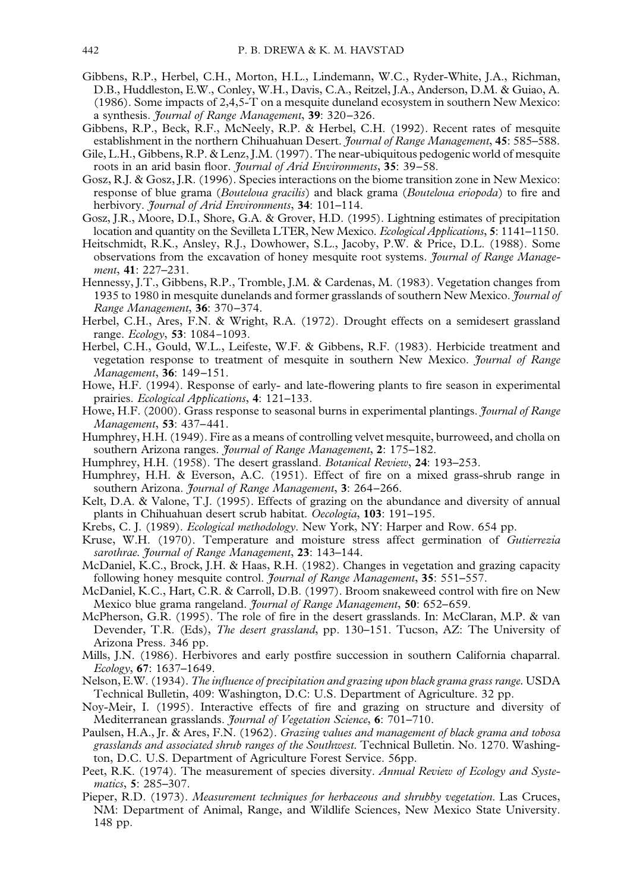- <span id="page-13-0"></span>Gibbens, R.P., Herbel, C.H., Morton, H.L., Lindemann, W.C., Ryder-White, J.A., Richman, D.B., Huddleston, E.W., Conley, W.H., Davis, C.A., Reitzel, J.A., Anderson, D.M. & Guiao, A. (1986). Some impacts of 2,4,5-T on a mesquite duneland ecosystem in southern New Mexico: a synthesis. *Journal of Range Management*, **39**: 320–326.
- Gibbens, R.P., Beck, R.F., McNeely, R.P. & Herbel, C.H. (1992). Recent rates of mesquite establishment in the northern Chihuahuan Desert. *Journal of Range Management*, **45**: 585–588.
- Gile, L.H., Gibbens, R.P. & Lenz, J.M. (1997). The near-ubiquitous pedogenic world of mesquite roots in an arid basin floor. *Journal of Arid Environments*, **35**: 39–58.
- Gosz, R.J. & Gosz, J.R. (1996). Species interactions on the biome transition zone in New Mexico: response of blue grama (*Bouteloua gracilis*) and black grama (*Bouteloua eriopoda*) to fire and herbivory. *Journal of Arid Environments*, **34**: 101–114.
- Gosz, J.R., Moore, D.I., Shore, G.A. & Grover, H.D. (1995). Lightning estimates of precipitation location and quantity on the Sevilleta LTER, New Mexico. *Ecological Applications*, **5**: 1141–1150.
- Heitschmidt, R.K., Ansley, R.J., Dowhower, S.L., Jacoby, P.W. & Price, D.L. (1988). Some observations from the excavation of honey mesquite root systems. *Journal of Range Management*, **41**: 227–231.
- Hennessy, J.T., Gibbens, R.P., Tromble, J.M. & Cardenas, M. (1983). Vegetation changes from 1935 to 1980 in mesquite dunelands and former grasslands of southern New Mexico. *Journal of Range Management*, **36**: 370–374.
- Herbel, C.H., Ares, F.N. & Wright, R.A. (1972). Drought effects on a semidesert grassland range. *Ecology*, **53**: 1084-1093.
- Herbel, C.H., Gould, W.L., Leifeste, W.F. & Gibbens, R.F. (1983). Herbicide treatment and vegetation response to treatment of mesquite in southern New Mexico. *Journal of Range Management*, **36**: 149–151.
- Howe, H.F. (1994). Response of early- and late-flowering plants to fire season in experimental prairies. *Ecological Applications*, **4**: 121–133.
- Howe, H.F. (2000). Grass response to seasonal burns in experimental plantings. *Journal of Range Management*, **53**: 437–441.
- Humphrey, H.H. (1949). Fire as a means of controlling velvet mesquite, burroweed, and cholla on southern Arizona ranges. *Journal of Range Management*, **2**: 175–182.
- Humphrey, H.H. (1958). The desert grassland. *Botanical Review*, **24**: 193–253.
- Humphrey, H.H. & Everson, A.C. (1951). Effect of fire on a mixed grass-shrub range in southern Arizona. *Journal of Range Management*, **3**: 264–266.
- Kelt, D.A. & Valone, T.J. (1995). Effects of grazing on the abundance and diversity of annual plants in Chihuahuan desert scrub habitat. *Oecologia*, **103**: 191–195.
- Krebs, C. J. (1989). *Ecological methodology*. New York, NY: Harper and Row. 654 pp.
- Kruse, W.H. (1970). Temperature and moisture stress affect germination of *Gutierrezia sarothrae. Journal of Range Management*, **23**: 143–144.
- McDaniel, K.C., Brock, J.H. & Haas, R.H. (1982). Changes in vegetation and grazing capacity following honey mesquite control. *Journal of Range Management*, **35**: 551–557.
- McDaniel, K.C., Hart, C.R. & Carroll, D.B. (1997). Broom snakeweed control with fire on New Mexico blue grama rangeland. *Journal of Range Management*, **50**: 652–659.
- McPherson, G.R. (1995). The role of fire in the desert grasslands. In: McClaran, M.P. & van Devender, T.R. (Eds), *The desert grassland*, pp. 130–151. Tucson, AZ: The University of Arizona Press. 346 pp.
- Mills, J.N. (1986). Herbivores and early postfire succession in southern California chaparral. *Ecology*, **67**: 1637–1649.
- Nelson, E.W. (1934). *The influence of precipitation and grazing upon black grama grass range.* USDA Technical Bulletin, 409: Washington, D.C: U.S. Department of Agriculture. 32 pp.
- Noy-Meir, I. (1995). Interactive effects of fire and grazing on structure and diversity of Mediterranean grasslands. *Journal of Vegetation Science*, **6**: 701–710.
- Paulsen, H.A., Jr. & Ares, F.N. (1962). *Grazing values and management of black grama and tobosa grasslands and associated shrub ranges of the Southwest.* Technical Bulletin. No. 1270. Washington, D.C. U.S. Department of Agriculture Forest Service. 56pp.
- Peet, R.K. (1974). The measurement of species diversity. *Annual Review of Ecology and Systematics*, **5**: 285–307.
- Pieper, R.D. (1973). *Measurement techniques for herbaceous and shrubby vegetation*. Las Cruces, NM: Department of Animal, Range, and Wildlife Sciences, New Mexico State University. 148 pp.